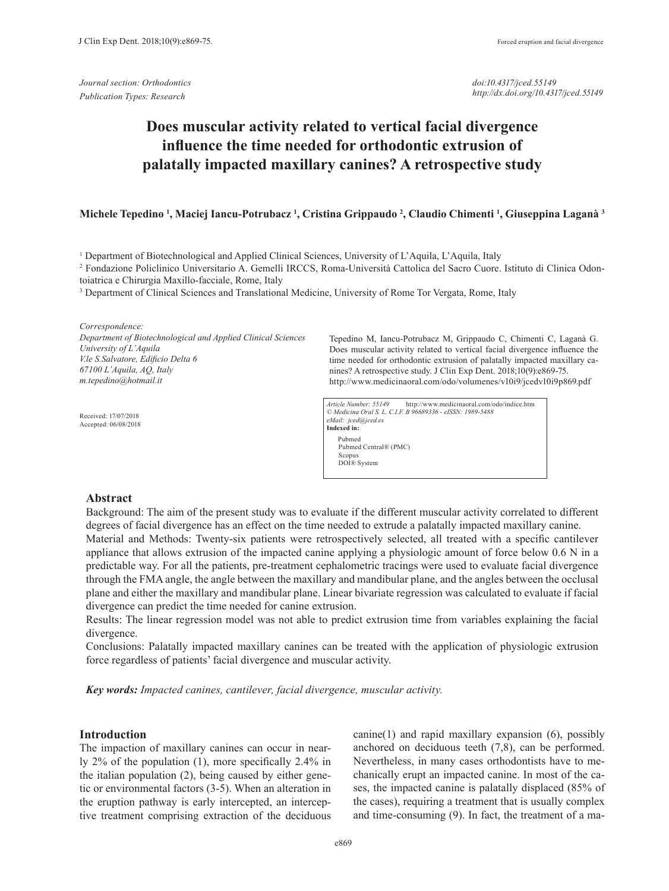*Journal section: Orthodontics Publication Types: Research*

*doi:10.4317/jced.55149 http://dx.doi.org/10.4317/jced.55149*

# **Does muscular activity related to vertical facial divergence influence the time needed for orthodontic extrusion of palatally impacted maxillary canines? A retrospective study**

## **Michele Tepedino <sup>1</sup> , Maciej Iancu-Potrubacz 1 , Cristina Grippaudo 2 , Claudio Chimenti <sup>1</sup> , Giuseppina Laganà 3**

1 Department of Biotechnological and Applied Clinical Sciences, University of L'Aquila, L'Aquila, Italy

2 Fondazione Policlinico Universitario A. Gemelli IRCCS, Roma-Università Cattolica del Sacro Cuore. Istituto di Clinica Odontoiatrica e Chirurgia Maxillo-facciale, Rome, Italy

<sup>3</sup> Department of Clinical Sciences and Translational Medicine, University of Rome Tor Vergata, Rome, Italy

*Correspondence: Department of Biotechnological and Applied Clinical Sciences University of L'Aquila V.le S.Salvatore, Edificio Delta 6 67100 L'Aquila, AQ, Italy m.tepedino@hotmail.it*

Received: 17/07/2018 Accepted: 06/08/2018

Tepedino M, Iancu-Potrubacz M, Grippaudo C, Chimenti C, Laganà G. Does muscular activity related to vertical facial divergence influence the time needed for orthodontic extrusion of palatally impacted maxillary canines? A retrospective study. J Clin Exp Dent. 2018;10(9):e869-75. http://www.medicinaoral.com/odo/volumenes/v10i9/jcedv10i9p869.pdf

*Article Number: 55149* http://www.medicinaoral.com/odo/indice.htm *© Medicina Oral S. L. C.I.F. B 96689336 - eISSN: 1989-5488 eMail: jced@jced.es* **Indexed in:**  Pubmed Pubmed Central® (PMC) Scopus DOI® System

## **Abstract**

Background: The aim of the present study was to evaluate if the different muscular activity correlated to different degrees of facial divergence has an effect on the time needed to extrude a palatally impacted maxillary canine.

Material and Methods: Twenty-six patients were retrospectively selected, all treated with a specific cantilever appliance that allows extrusion of the impacted canine applying a physiologic amount of force below 0.6 N in a predictable way. For all the patients, pre-treatment cephalometric tracings were used to evaluate facial divergence through the FMA angle, the angle between the maxillary and mandibular plane, and the angles between the occlusal plane and either the maxillary and mandibular plane. Linear bivariate regression was calculated to evaluate if facial divergence can predict the time needed for canine extrusion.

Results: The linear regression model was not able to predict extrusion time from variables explaining the facial divergence.

Conclusions: Palatally impacted maxillary canines can be treated with the application of physiologic extrusion force regardless of patients' facial divergence and muscular activity.

*Key words: Impacted canines, cantilever, facial divergence, muscular activity.*

# **Introduction**

The impaction of maxillary canines can occur in nearly 2% of the population (1), more specifically 2.4% in the italian population (2), being caused by either genetic or environmental factors (3-5). When an alteration in the eruption pathway is early intercepted, an interceptive treatment comprising extraction of the deciduous canine(1) and rapid maxillary expansion (6), possibly anchored on deciduous teeth (7,8), can be performed. Nevertheless, in many cases orthodontists have to mechanically erupt an impacted canine. In most of the cases, the impacted canine is palatally displaced (85% of the cases), requiring a treatment that is usually complex and time-consuming (9). In fact, the treatment of a ma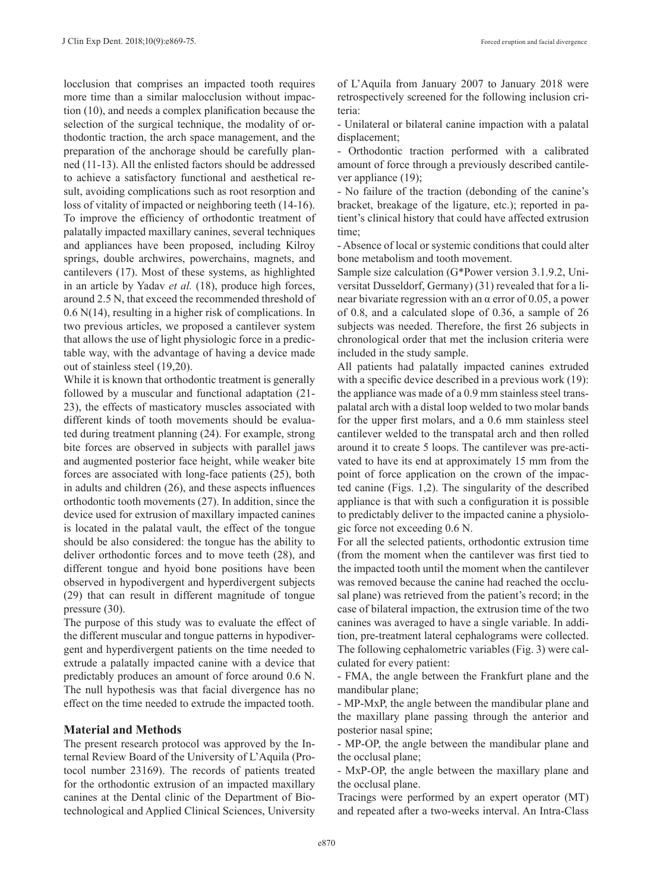locclusion that comprises an impacted tooth requires more time than a similar malocclusion without impaction (10), and needs a complex planification because the selection of the surgical technique, the modality of orthodontic traction, the arch space management, and the preparation of the anchorage should be carefully planned (11-13). All the enlisted factors should be addressed to achieve a satisfactory functional and aesthetical result, avoiding complications such as root resorption and loss of vitality of impacted or neighboring teeth (14-16). To improve the efficiency of orthodontic treatment of palatally impacted maxillary canines, several techniques and appliances have been proposed, including Kilroy springs, double archwires, powerchains, magnets, and cantilevers (17). Most of these systems, as highlighted in an article by Yadav *et al.* (18), produce high forces, around 2.5 N, that exceed the recommended threshold of 0.6 N(14), resulting in a higher risk of complications. In two previous articles, we proposed a cantilever system that allows the use of light physiologic force in a predictable way, with the advantage of having a device made out of stainless steel (19,20).

While it is known that orthodontic treatment is generally followed by a muscular and functional adaptation (21- 23), the effects of masticatory muscles associated with different kinds of tooth movements should be evaluated during treatment planning (24). For example, strong bite forces are observed in subjects with parallel jaws and augmented posterior face height, while weaker bite forces are associated with long-face patients (25), both in adults and children (26), and these aspects influences orthodontic tooth movements (27). In addition, since the device used for extrusion of maxillary impacted canines is located in the palatal vault, the effect of the tongue should be also considered: the tongue has the ability to deliver orthodontic forces and to move teeth (28), and different tongue and hyoid bone positions have been observed in hypodivergent and hyperdivergent subjects (29) that can result in different magnitude of tongue pressure (30).

The purpose of this study was to evaluate the effect of the different muscular and tongue patterns in hypodivergent and hyperdivergent patients on the time needed to extrude a palatally impacted canine with a device that predictably produces an amount of force around 0.6 N. The null hypothesis was that facial divergence has no effect on the time needed to extrude the impacted tooth.

## **Material and Methods**

The present research protocol was approved by the Internal Review Board of the University of L'Aquila (Protocol number 23169). The records of patients treated for the orthodontic extrusion of an impacted maxillary canines at the Dental clinic of the Department of Biotechnological and Applied Clinical Sciences, University

of L'Aquila from January 2007 to January 2018 were retrospectively screened for the following inclusion criteria:

- Unilateral or bilateral canine impaction with a palatal displacement;

- Orthodontic traction performed with a calibrated amount of force through a previously described cantilever appliance (19);

- No failure of the traction (debonding of the canine's bracket, breakage of the ligature, etc.); reported in patient's clinical history that could have affected extrusion time;

- Absence of local or systemic conditions that could alter bone metabolism and tooth movement.

Sample size calculation (G\*Power version 3.1.9.2, Universitat Dusseldorf, Germany) (31) revealed that for a linear bivariate regression with an α error of 0.05, a power of 0.8, and a calculated slope of 0.36, a sample of 26 subjects was needed. Therefore, the first 26 subjects in chronological order that met the inclusion criteria were included in the study sample.

All patients had palatally impacted canines extruded with a specific device described in a previous work (19): the appliance was made of a 0.9 mm stainless steel transpalatal arch with a distal loop welded to two molar bands for the upper first molars, and a 0.6 mm stainless steel cantilever welded to the transpatal arch and then rolled around it to create 5 loops. The cantilever was pre-activated to have its end at approximately 15 mm from the point of force application on the crown of the impacted canine (Figs. 1,2). The singularity of the described appliance is that with such a configuration it is possible to predictably deliver to the impacted canine a physiologic force not exceeding 0.6 N.

For all the selected patients, orthodontic extrusion time (from the moment when the cantilever was first tied to the impacted tooth until the moment when the cantilever was removed because the canine had reached the occlusal plane) was retrieved from the patient's record; in the case of bilateral impaction, the extrusion time of the two canines was averaged to have a single variable. In addition, pre-treatment lateral cephalograms were collected. The following cephalometric variables (Fig. 3) were calculated for every patient:

- FMA, the angle between the Frankfurt plane and the mandibular plane;

- MP-MxP, the angle between the mandibular plane and the maxillary plane passing through the anterior and posterior nasal spine;

- MP-OP, the angle between the mandibular plane and the occlusal plane;

- MxP-OP, the angle between the maxillary plane and the occlusal plane.

Tracings were performed by an expert operator (MT) and repeated after a two-weeks interval. An Intra-Class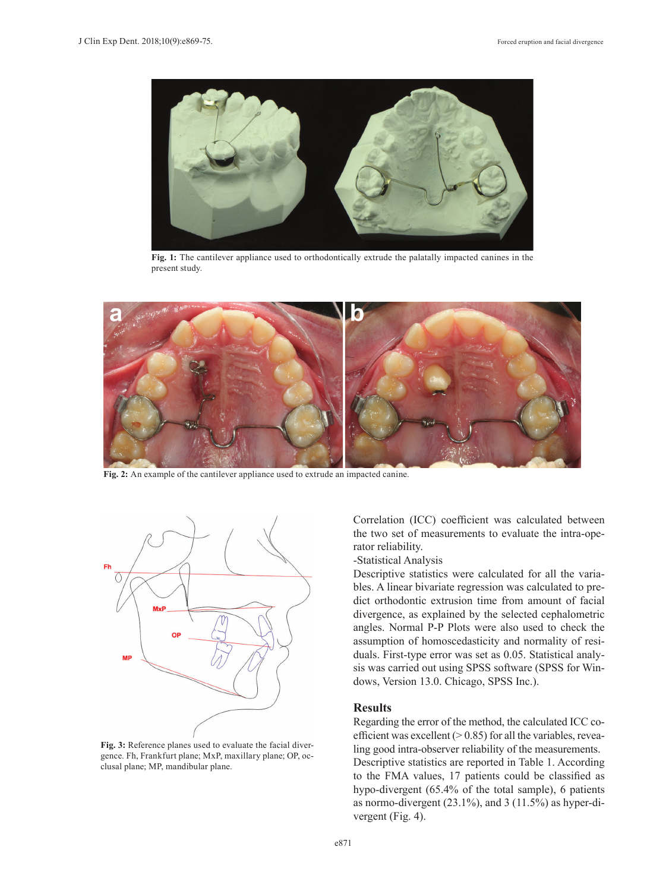

**Fig. 1:** The cantilever appliance used to orthodontically extrude the palatally impacted canines in the present study.



**Fig. 2:** An example of the cantilever appliance used to extrude an impacted canine.



**Fig. 3:** Reference planes used to evaluate the facial divergence. Fh, Frankfurt plane; MxP, maxillary plane; OP, occlusal plane; MP, mandibular plane.

Correlation (ICC) coefficient was calculated between the two set of measurements to evaluate the intra-operator reliability.

-Statistical Analysis

Descriptive statistics were calculated for all the variables. A linear bivariate regression was calculated to predict orthodontic extrusion time from amount of facial divergence, as explained by the selected cephalometric angles. Normal P-P Plots were also used to check the assumption of homoscedasticity and normality of residuals. First-type error was set as 0.05. Statistical analysis was carried out using SPSS software (SPSS for Windows, Version 13.0. Chicago, SPSS Inc.).

## **Results**

Regarding the error of the method, the calculated ICC coefficient was excellent  $(> 0.85)$  for all the variables, revealing good intra-observer reliability of the measurements. Descriptive statistics are reported in Table 1. According to the FMA values, 17 patients could be classified as hypo-divergent (65.4% of the total sample), 6 patients as normo-divergent (23.1%), and 3 (11.5%) as hyper-divergent (Fig. 4).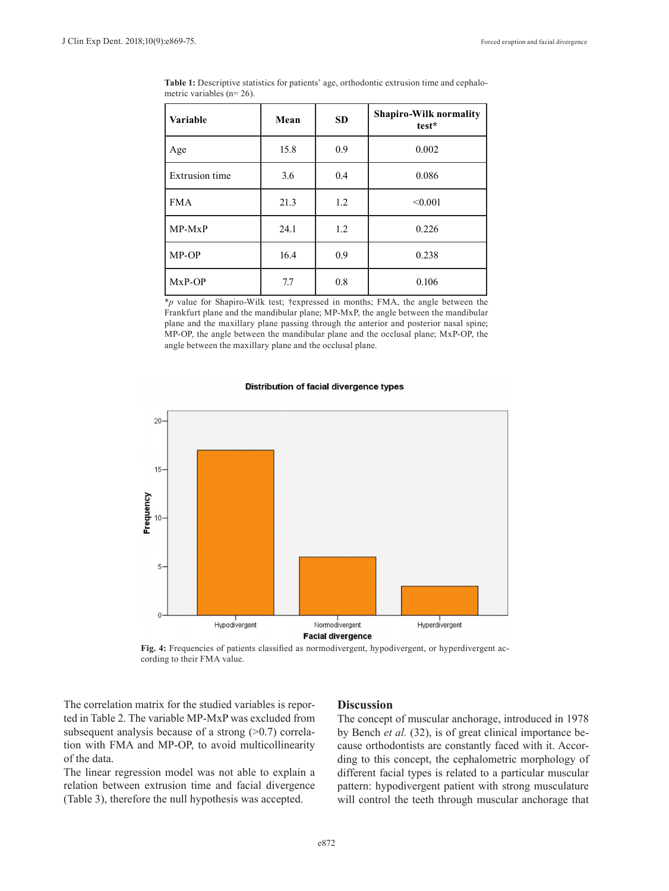| <b>Variable</b>       | Mean | <b>SD</b> | <b>Shapiro-Wilk normality</b><br>test* |  |
|-----------------------|------|-----------|----------------------------------------|--|
| Age                   | 15.8 | 0.9       | 0.002                                  |  |
| <b>Extrusion</b> time | 3.6  | 0.4       | 0.086                                  |  |
| <b>FMA</b>            | 21.3 | 1.2       | < 0.001                                |  |
| $MP-MxP$              | 24.1 | 1.2       | 0.226                                  |  |
| MP-OP                 | 16.4 | 0.9       | 0.238                                  |  |
| $Mx$ P-OP             | 7.7  | 0.8       | 0.106                                  |  |

**Table 1:** Descriptive statistics for patients' age, orthodontic extrusion time and cephalometric variables (n= 26).

\**p* value for Shapiro-Wilk test; †expressed in months; FMA, the angle between the Frankfurt plane and the mandibular plane; MP-MxP, the angle between the mandibular plane and the maxillary plane passing through the anterior and posterior nasal spine; MP-OP, the angle between the mandibular plane and the occlusal plane; MxP-OP, the angle between the maxillary plane and the occlusal plane.

#### Distribution of facial divergence types



**Fig. 4:** Frequencies of patients classified as normodivergent, hypodivergent, or hyperdivergent according to their FMA value.

The correlation matrix for the studied variables is reported in Table 2. The variable MP-MxP was excluded from subsequent analysis because of a strong  $(>0.7)$  correlation with FMA and MP-OP, to avoid multicollinearity of the data.

The linear regression model was not able to explain a relation between extrusion time and facial divergence (Table 3), therefore the null hypothesis was accepted.

## **Discussion**

The concept of muscular anchorage, introduced in 1978 by Bench *et al.* (32), is of great clinical importance because orthodontists are constantly faced with it. According to this concept, the cephalometric morphology of different facial types is related to a particular muscular pattern: hypodivergent patient with strong musculature will control the teeth through muscular anchorage that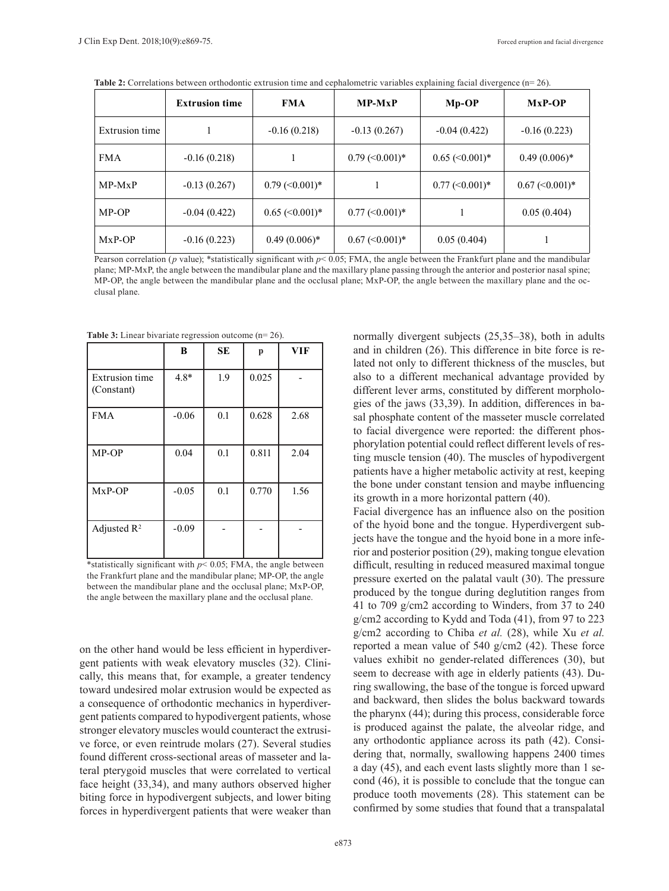|                | <b>Extrusion time</b> | <b>FMA</b>                        | $MP-MxP$                          | $Mp$ - $OP$                       | $Mx$ P-OP                         |
|----------------|-----------------------|-----------------------------------|-----------------------------------|-----------------------------------|-----------------------------------|
| Extrusion time |                       | $-0.16(0.218)$                    | $-0.13(0.267)$                    | $-0.04(0.422)$                    | $-0.16(0.223)$                    |
| <b>FMA</b>     | $-0.16(0.218)$        |                                   | $0.79 \approx 0.001$ <sup>*</sup> | $0.65 \approx 0.001$ <sup>*</sup> | $0.49(0.006)^*$                   |
| $MP-MxP$       | $-0.13(0.267)$        | $0.79 \approx 0.001$ <sup>*</sup> |                                   | $0.77 \approx 0.001$ <sup>*</sup> | $0.67 \approx 0.001$ <sup>*</sup> |
| MP-OP          | $-0.04(0.422)$        | $0.65 \approx 0.001$ <sup>*</sup> | $0.77 \approx 0.001$ <sup>*</sup> |                                   | 0.05(0.404)                       |
| $Mx$ P-OP      | $-0.16(0.223)$        | $0.49(0.006)*$                    | $0.67 \approx 0.001$ <sup>*</sup> | 0.05(0.404)                       |                                   |

**Table 2:** Correlations between orthodontic extrusion time and cephalometric variables explaining facial divergence (n= 26).

Pearson correlation ( $p$  value); \*statistically significant with  $p$ < 0.05; FMA, the angle between the Frankfurt plane and the mandibular plane; MP-MxP, the angle between the mandibular plane and the maxillary plane passing through the anterior and posterior nasal spine; MP-OP, the angle between the mandibular plane and the occlusal plane; MxP-OP, the angle between the maxillary plane and the occlusal plane.

**Table 3:** Linear bivariate regression outcome (n= 26).

|                                     | B       | <b>SE</b> | p     | <b>VIF</b> |
|-------------------------------------|---------|-----------|-------|------------|
| <b>Extrusion time</b><br>(Constant) | $4.8*$  | 1.9       | 0.025 |            |
| <b>FMA</b>                          | $-0.06$ | 0.1       | 0.628 | 2.68       |
| MP-OP                               | 0.04    | 0.1       | 0.811 | 2.04       |
| $Mx$ P-OP                           | $-0.05$ | 0.1       | 0.770 | 1.56       |
| Adjusted $\mathbb{R}^2$             | $-0.09$ |           |       |            |

\*statistically significant with  $p$  < 0.05; FMA, the angle between the Frankfurt plane and the mandibular plane; MP-OP, the angle between the mandibular plane and the occlusal plane; MxP-OP, the angle between the maxillary plane and the occlusal plane.

on the other hand would be less efficient in hyperdivergent patients with weak elevatory muscles (32). Clinically, this means that, for example, a greater tendency toward undesired molar extrusion would be expected as a consequence of orthodontic mechanics in hyperdivergent patients compared to hypodivergent patients, whose stronger elevatory muscles would counteract the extrusive force, or even reintrude molars (27). Several studies found different cross-sectional areas of masseter and lateral pterygoid muscles that were correlated to vertical face height (33,34), and many authors observed higher biting force in hypodivergent subjects, and lower biting forces in hyperdivergent patients that were weaker than normally divergent subjects (25,35–38), both in adults and in children (26). This difference in bite force is related not only to different thickness of the muscles, but also to a different mechanical advantage provided by different lever arms, constituted by different morphologies of the jaws (33,39). In addition, differences in basal phosphate content of the masseter muscle correlated to facial divergence were reported: the different phosphorylation potential could reflect different levels of resting muscle tension (40). The muscles of hypodivergent patients have a higher metabolic activity at rest, keeping the bone under constant tension and maybe influencing its growth in a more horizontal pattern (40).

Facial divergence has an influence also on the position of the hyoid bone and the tongue. Hyperdivergent subjects have the tongue and the hyoid bone in a more inferior and posterior position (29), making tongue elevation difficult, resulting in reduced measured maximal tongue pressure exerted on the palatal vault (30). The pressure produced by the tongue during deglutition ranges from 41 to 709 g/cm2 according to Winders, from 37 to 240 g/cm2 according to Kydd and Toda (41), from 97 to 223 g/cm2 according to Chiba *et al.* (28), while Xu *et al.* reported a mean value of 540 g/cm2 (42). These force values exhibit no gender-related differences (30), but seem to decrease with age in elderly patients (43). During swallowing, the base of the tongue is forced upward and backward, then slides the bolus backward towards the pharynx (44); during this process, considerable force is produced against the palate, the alveolar ridge, and any orthodontic appliance across its path (42). Considering that, normally, swallowing happens 2400 times a day (45), and each event lasts slightly more than 1 second (46), it is possible to conclude that the tongue can produce tooth movements (28). This statement can be confirmed by some studies that found that a transpalatal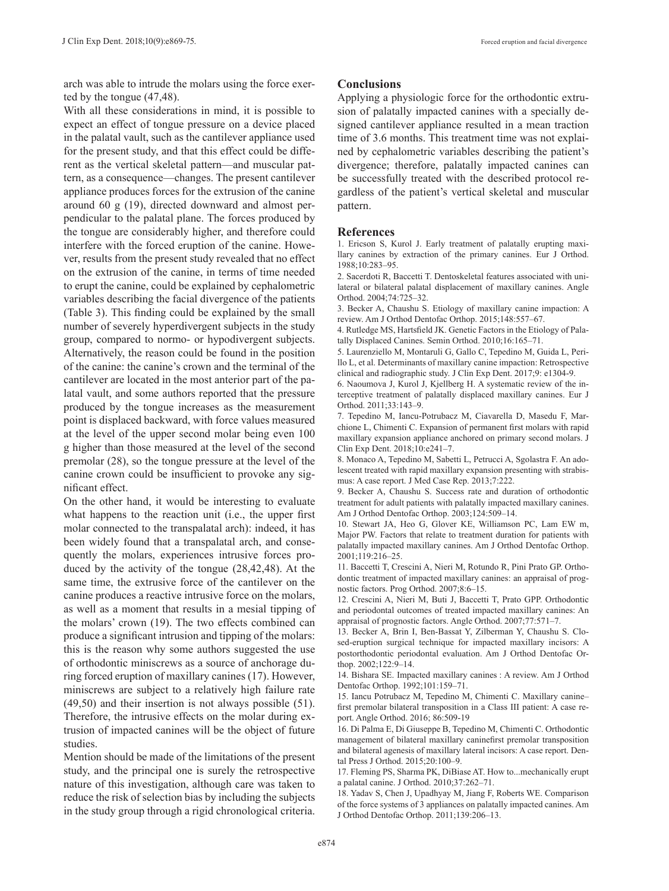arch was able to intrude the molars using the force exerted by the tongue (47,48).

With all these considerations in mind, it is possible to expect an effect of tongue pressure on a device placed in the palatal vault, such as the cantilever appliance used for the present study, and that this effect could be different as the vertical skeletal pattern—and muscular pattern, as a consequence—changes. The present cantilever appliance produces forces for the extrusion of the canine around 60 g (19), directed downward and almost perpendicular to the palatal plane. The forces produced by the tongue are considerably higher, and therefore could interfere with the forced eruption of the canine. However, results from the present study revealed that no effect on the extrusion of the canine, in terms of time needed to erupt the canine, could be explained by cephalometric variables describing the facial divergence of the patients (Table 3). This finding could be explained by the small number of severely hyperdivergent subjects in the study group, compared to normo- or hypodivergent subjects. Alternatively, the reason could be found in the position of the canine: the canine's crown and the terminal of the cantilever are located in the most anterior part of the palatal vault, and some authors reported that the pressure produced by the tongue increases as the measurement point is displaced backward, with force values measured at the level of the upper second molar being even 100 g higher than those measured at the level of the second premolar (28), so the tongue pressure at the level of the canine crown could be insufficient to provoke any significant effect.

On the other hand, it would be interesting to evaluate what happens to the reaction unit (i.e., the upper first molar connected to the transpalatal arch): indeed, it has been widely found that a transpalatal arch, and consequently the molars, experiences intrusive forces produced by the activity of the tongue (28,42,48). At the same time, the extrusive force of the cantilever on the canine produces a reactive intrusive force on the molars, as well as a moment that results in a mesial tipping of the molars' crown (19). The two effects combined can produce a significant intrusion and tipping of the molars: this is the reason why some authors suggested the use of orthodontic miniscrews as a source of anchorage during forced eruption of maxillary canines (17). However, miniscrews are subject to a relatively high failure rate (49,50) and their insertion is not always possible (51). Therefore, the intrusive effects on the molar during extrusion of impacted canines will be the object of future studies.

Mention should be made of the limitations of the present study, and the principal one is surely the retrospective nature of this investigation, although care was taken to reduce the risk of selection bias by including the subjects in the study group through a rigid chronological criteria.

# **Conclusions**

Applying a physiologic force for the orthodontic extrusion of palatally impacted canines with a specially designed cantilever appliance resulted in a mean traction time of 3.6 months. This treatment time was not explained by cephalometric variables describing the patient's divergence; therefore, palatally impacted canines can be successfully treated with the described protocol regardless of the patient's vertical skeletal and muscular pattern.

## **References**

1. Ericson S, Kurol J. Early treatment of palatally erupting maxillary canines by extraction of the primary canines. Eur J Orthod. 1988;10:283–95.

2. Sacerdoti R, Baccetti T. Dentoskeletal features associated with unilateral or bilateral palatal displacement of maxillary canines. Angle Orthod. 2004;74:725–32.

3. Becker A, Chaushu S. Etiology of maxillary canine impaction: A review. Am J Orthod Dentofac Orthop. 2015;148:557–67.

4. Rutledge MS, Hartsfield JK. Genetic Factors in the Etiology of Palatally Displaced Canines. Semin Orthod. 2010;16:165–71.

5. Laurenziello M, Montaruli G, Gallo C, Tepedino M, Guida L, Perillo L, et al. Determinants of maxillary canine impaction: Retrospective clinical and radiographic study. J Clin Exp Dent. 2017;9: e1304-9.

6. Naoumova J, Kurol J, Kjellberg H. A systematic review of the interceptive treatment of palatally displaced maxillary canines. Eur J Orthod. 2011;33:143–9.

7. Tepedino M, Iancu-Potrubacz M, Ciavarella D, Masedu F, Marchione L, Chimenti C. Expansion of permanent first molars with rapid maxillary expansion appliance anchored on primary second molars. J Clin Exp Dent. 2018;10:e241–7.

8. Monaco A, Tepedino M, Sabetti L, Petrucci A, Sgolastra F. An adolescent treated with rapid maxillary expansion presenting with strabismus: A case report. J Med Case Rep. 2013;7:222.

9. Becker A, Chaushu S. Success rate and duration of orthodontic treatment for adult patients with palatally impacted maxillary canines. Am J Orthod Dentofac Orthop. 2003;124:509–14.

10. Stewart JA, Heo G, Glover KE, Williamson PC, Lam EW m, Major PW. Factors that relate to treatment duration for patients with palatally impacted maxillary canines. Am J Orthod Dentofac Orthop. 2001;119:216–25.

11. Baccetti T, Crescini A, Nieri M, Rotundo R, Pini Prato GP. Orthodontic treatment of impacted maxillary canines: an appraisal of prognostic factors. Prog Orthod. 2007;8:6–15.

12. Crescini A, Nieri M, Buti J, Baccetti T, Prato GPP. Orthodontic and periodontal outcomes of treated impacted maxillary canines: An appraisal of prognostic factors. Angle Orthod. 2007;77:571–7.

13. Becker A, Brin I, Ben-Bassat Y, Zilberman Y, Chaushu S. Closed-eruption surgical technique for impacted maxillary incisors: A postorthodontic periodontal evaluation. Am J Orthod Dentofac Orthop. 2002;122:9–14.

14. Bishara SE. Impacted maxillary canines : A review. Am J Orthod Dentofac Orthop. 1992;101:159–71.

15. Iancu Potrubacz M, Tepedino M, Chimenti C. Maxillary canine– first premolar bilateral transposition in a Class III patient: A case report. Angle Orthod. 2016; 86:509-19

16. Di Palma E, Di Giuseppe B, Tepedino M, Chimenti C. Orthodontic management of bilateral maxillary caninefirst premolar transposition and bilateral agenesis of maxillary lateral incisors: A case report. Dental Press J Orthod. 2015;20:100–9.

17. Fleming PS, Sharma PK, DiBiase AT. How to...mechanically erupt a palatal canine. J Orthod. 2010;37:262–71.

18. Yadav S, Chen J, Upadhyay M, Jiang F, Roberts WE. Comparison of the force systems of 3 appliances on palatally impacted canines. Am J Orthod Dentofac Orthop. 2011;139:206–13.